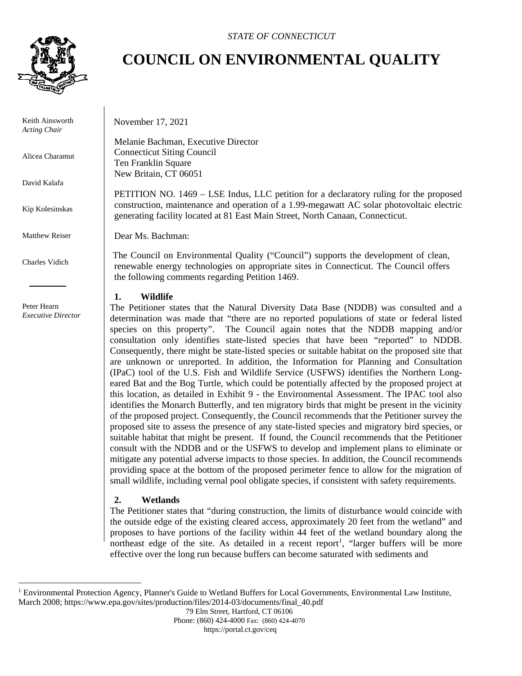

Keith Ainsworth *Acting Chair*

Alicea Charamut

David Kalafa

Kip Kolesinskas

Matthew Reiser

Charles Vidich

 Peter Hearn *Executive Director*

## **COUNCIL ON ENVIRONMENTAL QUALITY**

November 17, 2021

Melanie Bachman, Executive Director Connecticut Siting Council Ten Franklin Square New Britain, CT 06051

PETITION NO. 1469 – LSE Indus, LLC petition for a declaratory ruling for the proposed construction, maintenance and operation of a 1.99-megawatt AC solar photovoltaic electric generating facility located at 81 East Main Street, North Canaan, Connecticut.

Dear Ms. Bachman:

The Council on Environmental Quality ("Council") supports the development of clean, renewable energy technologies on appropriate sites in Connecticut. The Council offers the following comments regarding Petition 1469.

## **1. Wildlife**

The Petitioner states that the Natural Diversity Data Base (NDDB) was consulted and a determination was made that "there are no reported populations of state or federal listed species on this property". The Council again notes that the NDDB mapping and/or consultation only identifies state-listed species that have been "reported" to NDDB. Consequently, there might be state-listed species or suitable habitat on the proposed site that are unknown or unreported. In addition, the Information for Planning and Consultation (IPaC) tool of the U.S. Fish and Wildlife Service (USFWS) identifies the Northern Longeared Bat and the Bog Turtle, which could be potentially affected by the proposed project at this location, as detailed in Exhibit 9 - the Environmental Assessment. The IPAC tool also identifies the Monarch Butterfly, and ten migratory birds that might be present in the vicinity of the proposed project. Consequently, the Council recommends that the Petitioner survey the proposed site to assess the presence of any state-listed species and migratory bird species, or suitable habitat that might be present. If found, the Council recommends that the Petitioner consult with the NDDB and or the USFWS to develop and implement plans to eliminate or mitigate any potential adverse impacts to those species. In addition, the Council recommends providing space at the bottom of the proposed perimeter fence to allow for the migration of small wildlife, including vernal pool obligate species, if consistent with safety requirements.

## **2. Wetlands**

The Petitioner states that "during construction, the limits of disturbance would coincide with the outside edge of the existing cleared access, approximately 20 feet from the wetland" and proposes to have portions of the facility within 44 feet of the wetland boundary along the northeast edge of the site. As detailed in a recent report<sup>[1](#page-0-0)</sup>, "larger buffers will be more effective over the long run because buffers can become saturated with sediments and

79 Elm Street, Hartford, CT 06106

Phone: (860) 424-4000 Fax: (860) 424-4070

https://portal.ct.gov/ceq

<span id="page-0-0"></span><sup>&</sup>lt;sup>1</sup> Environmental Protection Agency, Planner's Guide to Wetland Buffers for Local Governments, Environmental Law Institute, March 2008; https://www.epa.gov/sites/production/files/2014-03/documents/final\_40.pdf